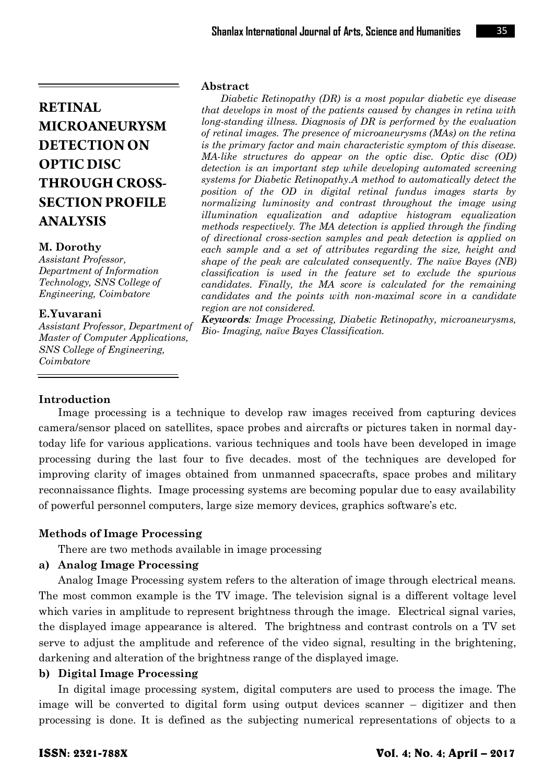#### **M. Dorothy**

*Assistant Professor, Department of Information Technology, SNS College of Engineering, Coimbatore* 

## **E.Yuvarani**

*Assistant Professor, Department of Master of Computer Applications, SNS College of Engineering, Coimbatore* 

#### **Abstract**

*Diabetic Retinopathy (DR) is a most popular diabetic eye disease that develops in most of the patients caused by changes in retina with long-standing illness. Diagnosis of DR is performed by the evaluation of retinal images. The presence of microaneurysms (MAs) on the retina is the primary factor and main characteristic symptom of this disease. MA-like structures do appear on the optic disc. Optic disc (OD) detection is an important step while developing automated screening systems for Diabetic Retinopathy.A method to automatically detect the position of the OD in digital retinal fundus images starts by normalizing luminosity and contrast throughout the image using illumination equalization and adaptive histogram equalization methods respectively. The MA detection is applied through the finding of directional cross-section samples and peak detection is applied on each sample and a set of attributes regarding the size, height and shape of the peak are calculated consequently. The naïve Bayes (NB) classification is used in the feature set to exclude the spurious candidates. Finally, the MA score is calculated for the remaining candidates and the points with non-maximal score in a candidate region are not considered.*

*Keywords: Image Processing, Diabetic Retinopathy, microaneurysms, Bio- Imaging, naïve Bayes Classification.*

# **Introduction**

Image processing is a technique to develop raw images received from capturing devices camera/sensor placed on satellites, space probes and aircrafts or pictures taken in normal daytoday life for various applications. various techniques and tools have been developed in image processing during the last four to five decades. most of the techniques are developed for improving clarity of images obtained from unmanned spacecrafts, space probes and military reconnaissance flights. Image processing systems are becoming popular due to easy availability of powerful personnel computers, large size memory devices, graphics software"s etc.

## **Methods of Image Processing**

There are two methods available in image processing

## **a) Analog Image Processing**

Analog Image Processing system refers to the alteration of image through electrical means. The most common example is the TV image. The television signal is a different voltage level which varies in amplitude to represent brightness through the image. Electrical signal varies, the displayed image appearance is altered. The brightness and contrast controls on a TV set serve to adjust the amplitude and reference of the video signal, resulting in the brightening, darkening and alteration of the brightness range of the displayed image.

#### **b) Digital Image Processing**

In digital image processing system, digital computers are used to process the image. The image will be converted to digital form using output devices scanner – digitizer and then processing is done. It is defined as the subjecting numerical representations of objects to a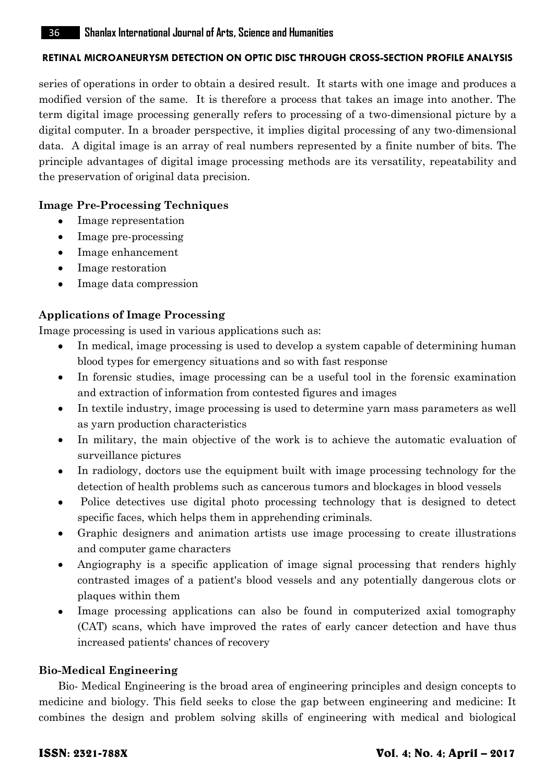series of operations in order to obtain a desired result. It starts with one image and produces a modified version of the same. It is therefore a process that takes an image into another. The term digital image processing generally refers to processing of a two-dimensional picture by a digital computer. In a broader perspective, it implies digital processing of any two-dimensional data. A digital image is an array of real numbers represented by a finite number of bits. The principle advantages of digital image processing methods are its versatility, repeatability and the preservation of original data precision.

## **Image Pre-Processing Techniques**

- Image representation
- Image pre-processing  $\bullet$
- Image enhancement  $\bullet$
- $\bullet$ Image restoration
- $\bullet$ Image data compression

# **Applications of Image Processing**

Image processing is used in various applications such as:

- In medical, image processing is used to develop a system capable of determining human blood types for emergency situations and so with fast response
- In forensic studies, image processing can be a useful tool in the forensic examination and extraction of information from contested figures and images
- In textile industry, image processing is used to determine yarn mass parameters as well  $\bullet$ as yarn production characteristics
- In military, the main objective of the work is to achieve the automatic evaluation of  $\bullet$ surveillance pictures
- In radiology, doctors use the equipment built with image processing technology for the detection of health problems such as cancerous tumors and blockages in blood vessels
- Police detectives use digital photo processing technology that is designed to detect specific faces, which helps them in apprehending criminals.
- Graphic designers and animation artists use image processing to create illustrations and computer game characters
- Angiography is a specific application of image signal processing that renders highly contrasted images of a patient's blood vessels and any potentially dangerous clots or plaques within them
- Image processing applications can also be found in computerized axial tomography (CAT) scans, which have improved the rates of early cancer detection and have thus increased patients' chances of recovery

## **Bio-Medical Engineering**

Bio- Medical Engineering is the broad area of engineering principles and design concepts to medicine and biology. This field seeks to close the gap between engineering and medicine: It combines the design and problem solving skills of engineering with medical and biological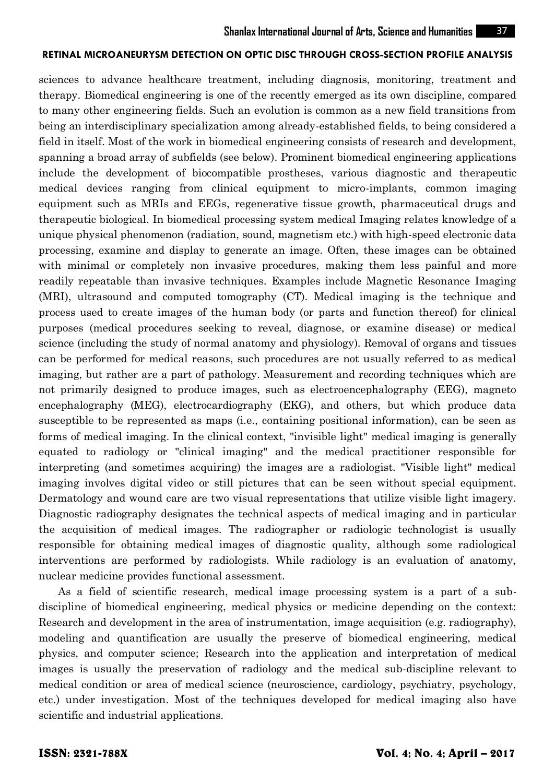sciences to advance healthcare treatment, including diagnosis, monitoring, treatment and therapy. Biomedical engineering is one of the recently emerged as its own discipline, compared to many other engineering fields. Such an evolution is common as a new field transitions from being an interdisciplinary specialization among already-established fields, to being considered a field in itself. Most of the work in biomedical engineering consists of research and development, spanning a broad array of subfields (see below). Prominent biomedical engineering applications include the development of biocompatible prostheses, various diagnostic and therapeutic medical devices ranging from clinical equipment to micro-implants, common imaging equipment such as MRIs and EEGs, regenerative tissue growth, pharmaceutical drugs and therapeutic biological. In biomedical processing system medical Imaging relates knowledge of a unique physical phenomenon (radiation, sound, magnetism etc.) with high-speed electronic data processing, examine and display to generate an image. Often, these images can be obtained with minimal or completely non invasive procedures, making them less painful and more readily repeatable than invasive techniques. Examples include Magnetic Resonance Imaging (MRI), ultrasound and computed tomography (CT). Medical imaging is the technique and process used to create images of the human body (or parts and function thereof) for clinical purposes (medical procedures seeking to reveal, diagnose, or examine disease) or medical science (including the study of normal anatomy and physiology). Removal of organs and tissues can be performed for medical reasons, such procedures are not usually referred to as medical imaging, but rather are a part of pathology. Measurement and recording techniques which are not primarily designed to produce images, such as electroencephalography (EEG), magneto encephalography (MEG), electrocardiography (EKG), and others, but which produce data susceptible to be represented as maps (i.e., containing positional information), can be seen as forms of medical imaging. In the clinical context, "invisible light" medical imaging is generally equated to radiology or "clinical imaging" and the medical practitioner responsible for interpreting (and sometimes acquiring) the images are a radiologist. "Visible light" medical imaging involves digital video or still pictures that can be seen without special equipment. Dermatology and wound care are two visual representations that utilize visible light imagery. Diagnostic radiography designates the technical aspects of medical imaging and in particular the acquisition of medical images. The radiographer or radiologic technologist is usually responsible for obtaining medical images of diagnostic quality, although some radiological interventions are performed by radiologists. While radiology is an evaluation of anatomy, nuclear medicine provides functional assessment.

As a field of scientific research, medical image processing system is a part of a subdiscipline of biomedical engineering, medical physics or medicine depending on the context: Research and development in the area of instrumentation, image acquisition (e.g. radiography), modeling and quantification are usually the preserve of biomedical engineering, medical physics, and computer science; Research into the application and interpretation of medical images is usually the preservation of radiology and the medical sub-discipline relevant to medical condition or area of medical science (neuroscience, cardiology, psychiatry, psychology, etc.) under investigation. Most of the techniques developed for medical imaging also have scientific and industrial applications.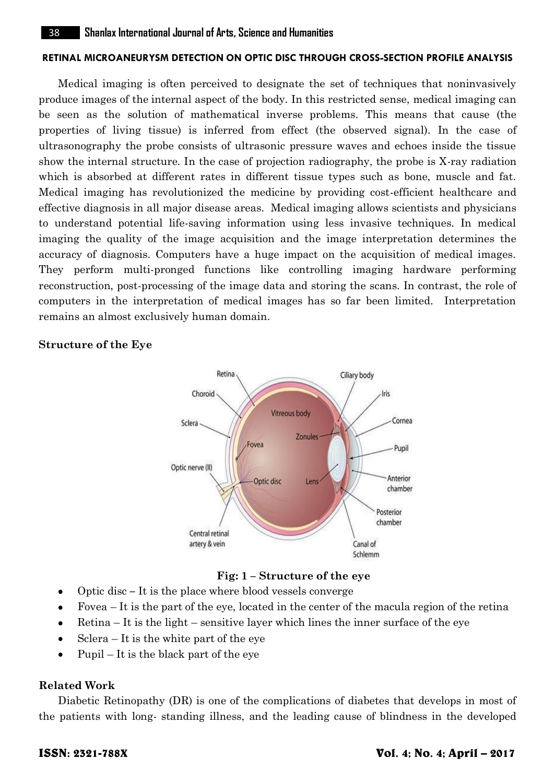Medical imaging is often perceived to designate the set of techniques that noninvasively produce images of the internal aspect of the body. In this restricted sense, medical imaging can be seen as the solution of mathematical inverse problems. This means that cause (the properties of living tissue) is inferred from effect (the observed signal). In the case of ultrasonography the probe consists of ultrasonic pressure waves and echoes inside the tissue show the internal structure. In the case of projection radiography, the probe is X-ray radiation which is absorbed at different rates in different tissue types such as bone, muscle and fat. Medical imaging has revolutionized the medicine by providing cost-efficient healthcare and effective diagnosis in all major disease areas. Medical imaging allows scientists and physicians to understand potential life-saving information using less invasive techniques. In medical imaging the quality of the image acquisition and the image interpretation determines the accuracy of diagnosis. Computers have a huge impact on the acquisition of medical images. They perform multi-pronged functions like controlling imaging hardware performing reconstruction, post-processing of the image data and storing the scans. In contrast, the role of computers in the interpretation of medical images has so far been limited. Interpretation remains an almost exclusively human domain.

#### **Structure of the Eye**





- Optic disc **–** It is the place where blood vessels converge  $\bullet$
- Fovea It is the part of the eye, located in the center of the macula region of the retina  $\bullet$
- Retina It is the light sensitive layer which lines the inner surface of the eye  $\bullet$
- Sclera It is the white part of the eye
- Pupil It is the black part of the eye  $\bullet$

## **Related Work**

Diabetic Retinopathy (DR) is one of the complications of diabetes that develops in most of the patients with long- standing illness, and the leading cause of blindness in the developed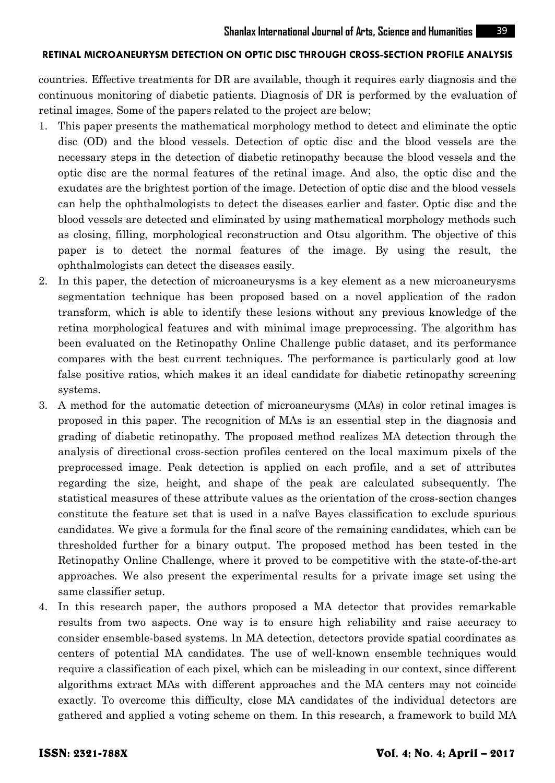countries. Effective treatments for DR are available, though it requires early diagnosis and the continuous monitoring of diabetic patients. Diagnosis of DR is performed by the evaluation of retinal images. Some of the papers related to the project are below;

- 1. This paper presents the mathematical morphology method to detect and eliminate the optic disc (OD) and the blood vessels. Detection of optic disc and the blood vessels are the necessary steps in the detection of diabetic retinopathy because the blood vessels and the optic disc are the normal features of the retinal image. And also, the optic disc and the exudates are the brightest portion of the image. Detection of optic disc and the blood vessels can help the ophthalmologists to detect the diseases earlier and faster. Optic disc and the blood vessels are detected and eliminated by using mathematical morphology methods such as closing, filling, morphological reconstruction and Otsu algorithm. The objective of this paper is to detect the normal features of the image. By using the result, the ophthalmologists can detect the diseases easily.
- 2. In this paper, the detection of microaneurysms is a key element as a new microaneurysms segmentation technique has been proposed based on a novel application of the radon transform, which is able to identify these lesions without any previous knowledge of the retina morphological features and with minimal image preprocessing. The algorithm has been evaluated on the Retinopathy Online Challenge public dataset, and its performance compares with the best current techniques. The performance is particularly good at low false positive ratios, which makes it an ideal candidate for diabetic retinopathy screening systems.
- 3. A method for the automatic detection of microaneurysms (MAs) in color retinal images is proposed in this paper. The recognition of MAs is an essential step in the diagnosis and grading of diabetic retinopathy. The proposed method realizes MA detection through the analysis of directional cross-section profiles centered on the local maximum pixels of the preprocessed image. Peak detection is applied on each profile, and a set of attributes regarding the size, height, and shape of the peak are calculated subsequently. The statistical measures of these attribute values as the orientation of the cross-section changes constitute the feature set that is used in a naive Bayes classification to exclude spurious candidates. We give a formula for the final score of the remaining candidates, which can be thresholded further for a binary output. The proposed method has been tested in the Retinopathy Online Challenge, where it proved to be competitive with the state-of-the-art approaches. We also present the experimental results for a private image set using the same classifier setup.
- 4. In this research paper, the authors proposed a MA detector that provides remarkable results from two aspects. One way is to ensure high reliability and raise accuracy to consider ensemble-based systems. In MA detection, detectors provide spatial coordinates as centers of potential MA candidates. The use of well-known ensemble techniques would require a classification of each pixel, which can be misleading in our context, since different algorithms extract MAs with different approaches and the MA centers may not coincide exactly. To overcome this difficulty, close MA candidates of the individual detectors are gathered and applied a voting scheme on them. In this research, a framework to build MA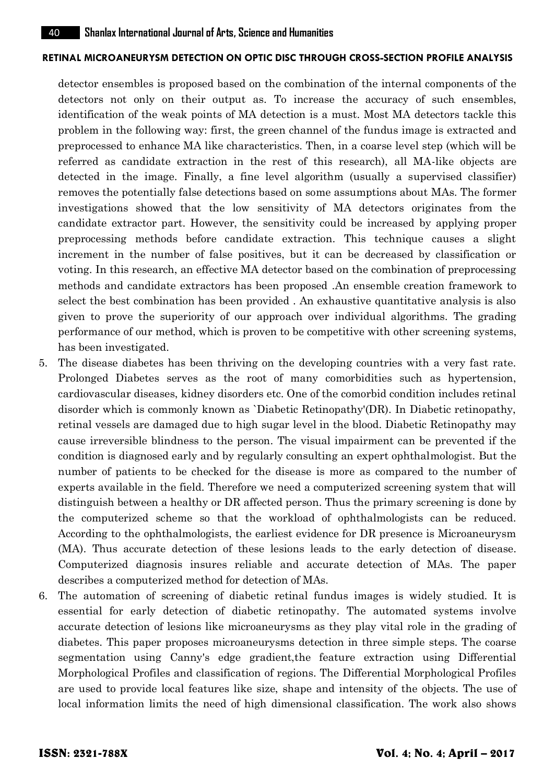detector ensembles is proposed based on the combination of the internal components of the detectors not only on their output as. To increase the accuracy of such ensembles, identification of the weak points of MA detection is a must. Most MA detectors tackle this problem in the following way: first, the green channel of the fundus image is extracted and preprocessed to enhance MA like characteristics. Then, in a coarse level step (which will be referred as candidate extraction in the rest of this research), all MA-like objects are detected in the image. Finally, a fine level algorithm (usually a supervised classifier) removes the potentially false detections based on some assumptions about MAs. The former investigations showed that the low sensitivity of MA detectors originates from the candidate extractor part. However, the sensitivity could be increased by applying proper preprocessing methods before candidate extraction. This technique causes a slight increment in the number of false positives, but it can be decreased by classification or voting. In this research, an effective MA detector based on the combination of preprocessing methods and candidate extractors has been proposed .An ensemble creation framework to select the best combination has been provided . An exhaustive quantitative analysis is also given to prove the superiority of our approach over individual algorithms. The grading performance of our method, which is proven to be competitive with other screening systems, has been investigated.

- 5. The disease diabetes has been thriving on the developing countries with a very fast rate. Prolonged Diabetes serves as the root of many comorbidities such as hypertension, cardiovascular diseases, kidney disorders etc. One of the comorbid condition includes retinal disorder which is commonly known as `Diabetic Retinopathy'(DR). In Diabetic retinopathy, retinal vessels are damaged due to high sugar level in the blood. Diabetic Retinopathy may cause irreversible blindness to the person. The visual impairment can be prevented if the condition is diagnosed early and by regularly consulting an expert ophthalmologist. But the number of patients to be checked for the disease is more as compared to the number of experts available in the field. Therefore we need a computerized screening system that will distinguish between a healthy or DR affected person. Thus the primary screening is done by the computerized scheme so that the workload of ophthalmologists can be reduced. According to the ophthalmologists, the earliest evidence for DR presence is Microaneurysm (MA). Thus accurate detection of these lesions leads to the early detection of disease. Computerized diagnosis insures reliable and accurate detection of MAs. The paper describes a computerized method for detection of MAs.
- 6. The automation of screening of diabetic retinal fundus images is widely studied. It is essential for early detection of diabetic retinopathy. The automated systems involve accurate detection of lesions like microaneurysms as they play vital role in the grading of diabetes. This paper proposes microaneurysms detection in three simple steps. The coarse segmentation using Canny's edge gradient,the feature extraction using Differential Morphological Profiles and classification of regions. The Differential Morphological Profiles are used to provide local features like size, shape and intensity of the objects. The use of local information limits the need of high dimensional classification. The work also shows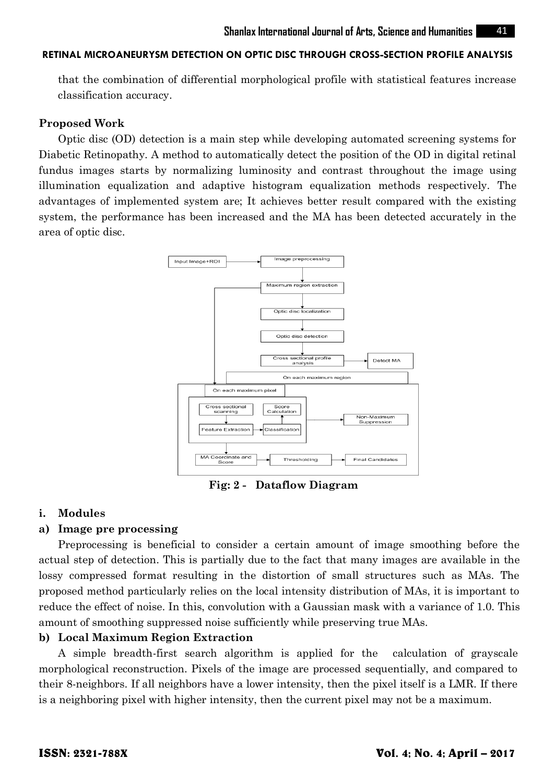that the combination of differential morphological profile with statistical features increase classification accuracy.

#### **Proposed Work**

Optic disc (OD) detection is a main step while developing automated screening systems for Diabetic Retinopathy. A method to automatically detect the position of the OD in digital retinal fundus images starts by normalizing luminosity and contrast throughout the image using illumination equalization and adaptive histogram equalization methods respectively. The advantages of implemented system are; It achieves better result compared with the existing system, the performance has been increased and the MA has been detected accurately in the area of optic disc.



**Fig: 2 - Dataflow Diagram**

## **i. Modules**

#### **a) Image pre processing**

Preprocessing is beneficial to consider a certain amount of image smoothing before the actual step of detection. This is partially due to the fact that many images are available in the lossy compressed format resulting in the distortion of small structures such as MAs. The proposed method particularly relies on the local intensity distribution of MAs, it is important to reduce the effect of noise. In this, convolution with a Gaussian mask with a variance of 1.0. This amount of smoothing suppressed noise sufficiently while preserving true MAs.

## **b) Local Maximum Region Extraction**

A simple breadth-first search algorithm is applied for the calculation of grayscale morphological reconstruction. Pixels of the image are processed sequentially, and compared to their 8-neighbors. If all neighbors have a lower intensity, then the pixel itself is a LMR. If there is a neighboring pixel with higher intensity, then the current pixel may not be a maximum.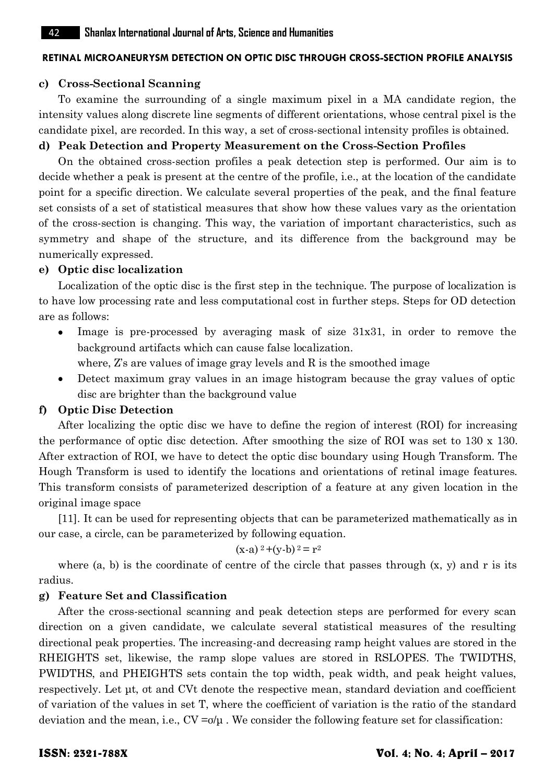#### **c) Cross-Sectional Scanning**

To examine the surrounding of a single maximum pixel in a MA candidate region, the intensity values along discrete line segments of different orientations, whose central pixel is the candidate pixel, are recorded. In this way, a set of cross-sectional intensity profiles is obtained.

## **d) Peak Detection and Property Measurement on the Cross-Section Profiles**

On the obtained cross-section profiles a peak detection step is performed. Our aim is to decide whether a peak is present at the centre of the profile, i.e., at the location of the candidate point for a specific direction. We calculate several properties of the peak, and the final feature set consists of a set of statistical measures that show how these values vary as the orientation of the cross-section is changing. This way, the variation of important characteristics, such as symmetry and shape of the structure, and its difference from the background may be numerically expressed.

## **e) Optic disc localization**

Localization of the optic disc is the first step in the technique. The purpose of localization is to have low processing rate and less computational cost in further steps. Steps for OD detection are as follows:

- $\bullet$ Image is pre-processed by averaging mask of size 31x31, in order to remove the background artifacts which can cause false localization.
	- where,  $\overline{Z}$ 's are values of image gray levels and R is the smoothed image
- Detect maximum gray values in an image histogram because the gray values of optic disc are brighter than the background value

## **f) Optic Disc Detection**

After localizing the optic disc we have to define the region of interest (ROI) for increasing the performance of optic disc detection. After smoothing the size of ROI was set to 130 x 130. After extraction of ROI, we have to detect the optic disc boundary using Hough Transform. The Hough Transform is used to identify the locations and orientations of retinal image features. This transform consists of parameterized description of a feature at any given location in the original image space

[11]. It can be used for representing objects that can be parameterized mathematically as in our case, a circle, can be parameterized by following equation.

# $(x-a)^2+(y-b)^2=r^2$

where  $(a, b)$  is the coordinate of centre of the circle that passes through  $(x, y)$  and r is its radius.

## **g) Feature Set and Classification**

After the cross-sectional scanning and peak detection steps are performed for every scan direction on a given candidate, we calculate several statistical measures of the resulting directional peak properties. The increasing-and decreasing ramp height values are stored in the RHEIGHTS set, likewise, the ramp slope values are stored in RSLOPES. The TWIDTHS, PWIDTHS, and PHEIGHTS sets contain the top width, peak width, and peak height values, respectively. Let μt, σt and CVt denote the respective mean, standard deviation and coefficient of variation of the values in set T, where the coefficient of variation is the ratio of the standard deviation and the mean, i.e.,  $CV = \sigma/\mu$ . We consider the following feature set for classification: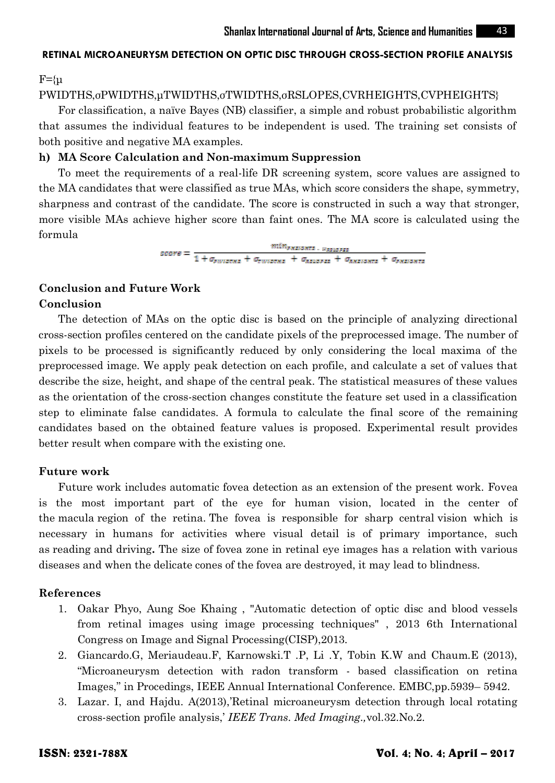$F=\{u$ 

# PWIDTHS, σPWIDTHS, μTWIDTHS, σTWIDTHS, σRSLOPES, CVRHEIGHTS, CVPHEIGHTS}

For classification, a naïve Bayes (NB) classifier, a simple and robust probabilistic algorithm that assumes the individual features to be independent is used. The training set consists of both positive and negative MA examples.

## **h) MA Score Calculation and Non-maximum Suppression**

To meet the requirements of a real-life DR screening system, score values are assigned to the MA candidates that were classified as true MAs, which score considers the shape, symmetry, sharpness and contrast of the candidate. The score is constructed in such a way that stronger, more visible MAs achieve higher score than faint ones. The MA score is calculated using the formula

 $\label{eq:score} score = \frac{min_{p_{NBIOMTS}}}{1 + \sigma_{p_{WBDTMS}} + \sigma_{TWIOTMS} + \sigma_{RSLOPSS} + \sigma_{RRIOTMS} + \sigma_{PHIOTMS}}$ 

## **Conclusion and Future Work Conclusion**

The detection of MAs on the optic disc is based on the principle of analyzing directional cross-section profiles centered on the candidate pixels of the preprocessed image. The number of pixels to be processed is significantly reduced by only considering the local maxima of the preprocessed image. We apply peak detection on each profile, and calculate a set of values that describe the size, height, and shape of the central peak. The statistical measures of these values as the orientation of the cross-section changes constitute the feature set used in a classification step to eliminate false candidates. A formula to calculate the final score of the remaining candidates based on the obtained feature values is proposed. Experimental result provides better result when compare with the existing one.

# **Future work**

Future work includes automatic fovea detection as an extension of the present work. Fovea is the most important part of the eye for human vision, located in the center of the macula region of the retina. The fovea is responsible for sharp central vision which is necessary in humans for activities where visual detail is of primary importance, such as reading and driving**.** The size of fovea zone in retinal eye images has a relation with various diseases and when the delicate cones of the fovea are destroyed, it may lead to blindness.

# **References**

- 1. Oakar Phyo, Aung Soe Khaing , "Automatic detection of optic disc and blood vessels from retinal images using image processing techniques" , 2013 6th International Congress on Image and Signal Processing(CISP),2013.
- 2. Giancardo.G, Meriaudeau.F, Karnowski.T .P, Li .Y, Tobin K.W and Chaum.E (2013), "Microaneurysm detection with radon transform - based classification on retina Images," in Procedings, IEEE Annual International Conference. EMBC,pp.5939– 5942.
- 3. Lazar. I, and Hajdu. A(2013),"Retinal microaneurysm detection through local rotating cross-section profile analysis," *IEEE Trans. Med Imaging.,*vol.32.No.2.